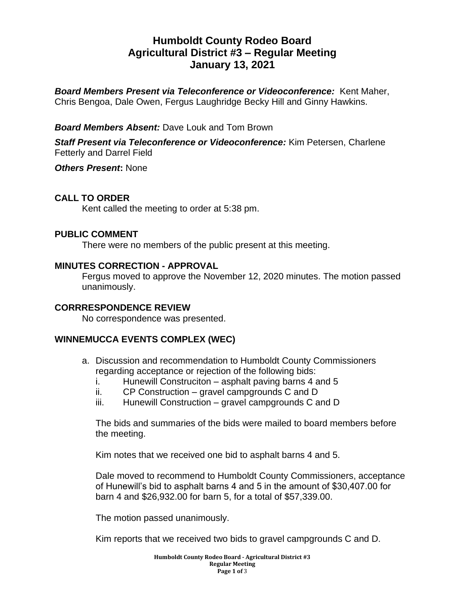# **Humboldt County Rodeo Board Agricultural District #3 – Regular Meeting January 13, 2021**

*Board Members Present via Teleconference or Videoconference:* Kent Maher, Chris Bengoa, Dale Owen, Fergus Laughridge Becky Hill and Ginny Hawkins.

# *Board Members Absent:* Dave Louk and Tom Brown

*Staff Present via Teleconference or Videoconference:* Kim Petersen, Charlene Fetterly and Darrel Field

*Others Present***:** None

# **CALL TO ORDER**

Kent called the meeting to order at 5:38 pm.

# **PUBLIC COMMENT**

There were no members of the public present at this meeting.

#### **MINUTES CORRECTION - APPROVAL**

Fergus moved to approve the November 12, 2020 minutes. The motion passed unanimously.

#### **CORRRESPONDENCE REVIEW**

No correspondence was presented.

# **WINNEMUCCA EVENTS COMPLEX (WEC)**

- a. Discussion and recommendation to Humboldt County Commissioners regarding acceptance or rejection of the following bids:
	- i. Hunewill Construciton asphalt paving barns 4 and 5
	- ii. CP Construction gravel campgrounds C and D
	- iii. Hunewill Construction gravel campgrounds C and D

The bids and summaries of the bids were mailed to board members before the meeting.

Kim notes that we received one bid to asphalt barns 4 and 5.

Dale moved to recommend to Humboldt County Commissioners, acceptance of Hunewill's bid to asphalt barns 4 and 5 in the amount of \$30,407.00 for barn 4 and \$26,932.00 for barn 5, for a total of \$57,339.00.

The motion passed unanimously.

Kim reports that we received two bids to gravel campgrounds C and D.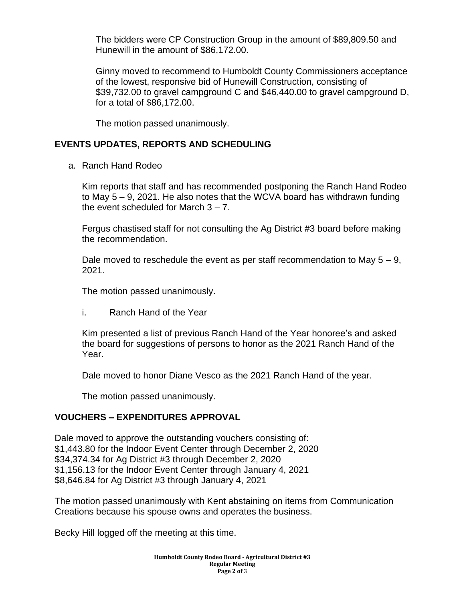The bidders were CP Construction Group in the amount of \$89,809.50 and Hunewill in the amount of \$86,172.00.

Ginny moved to recommend to Humboldt County Commissioners acceptance of the lowest, responsive bid of Hunewill Construction, consisting of \$39,732.00 to gravel campground C and \$46,440.00 to gravel campground D, for a total of \$86,172.00.

The motion passed unanimously.

# **EVENTS UPDATES, REPORTS AND SCHEDULING**

a. Ranch Hand Rodeo

Kim reports that staff and has recommended postponing the Ranch Hand Rodeo to May 5 – 9, 2021. He also notes that the WCVA board has withdrawn funding the event scheduled for March  $3 - 7$ .

Fergus chastised staff for not consulting the Ag District #3 board before making the recommendation.

Dale moved to reschedule the event as per staff recommendation to May  $5 - 9$ , 2021.

The motion passed unanimously.

i. Ranch Hand of the Year

Kim presented a list of previous Ranch Hand of the Year honoree's and asked the board for suggestions of persons to honor as the 2021 Ranch Hand of the Year.

Dale moved to honor Diane Vesco as the 2021 Ranch Hand of the year.

The motion passed unanimously.

# **VOUCHERS – EXPENDITURES APPROVAL**

Dale moved to approve the outstanding vouchers consisting of: \$1,443.80 for the Indoor Event Center through December 2, 2020 \$34,374.34 for Ag District #3 through December 2, 2020 \$1,156.13 for the Indoor Event Center through January 4, 2021 \$8,646.84 for Ag District #3 through January 4, 2021

The motion passed unanimously with Kent abstaining on items from Communication Creations because his spouse owns and operates the business.

Becky Hill logged off the meeting at this time.